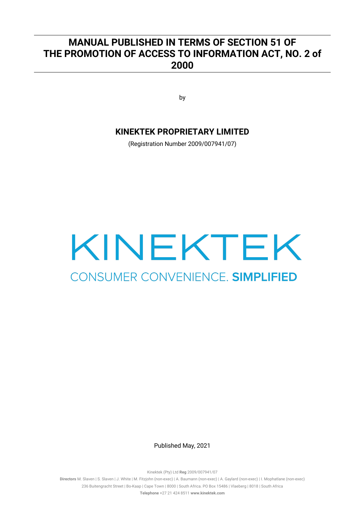# **MANUAL PUBLISHED IN TERMS OF SECTION 51 OF THE PROMOTION OF ACCESS TO INFORMATION ACT, NO. 2 of 2000**

by

# **KINEKTEK PROPRIETARY LIMITED**

(Registration Number 2009/007941/07)

# KINEKTEK CONSUMER CONVENIENCE. SIMPLIFIED

Published May, 2021

Kinektek (Pty) Ltd **Reg** 2009/007941/07

**Directors** M. Slaven | S. Slaven | J. White | M. Fitzjohn (non-exec) | A. Baumann (non-exec) | A. Gaylard (non-exec) | I. Mophatlane (non-exec) 236 Buitengracht Street | Bo-Kaap | Cape Town | 8000 | South Africa. PO Box 15486 | Vlaeberg | 8018 | South Africa **Telephone** +27 21 424 8511 **www.kinektek.com**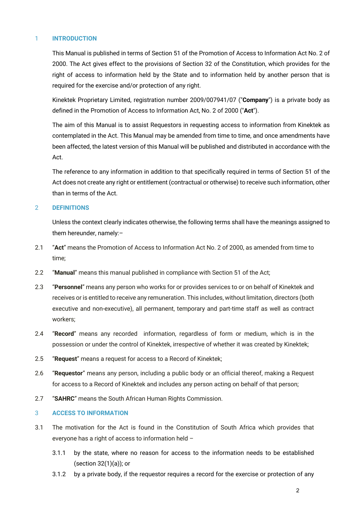# 1 **INTRODUCTION**

This Manual is published in terms of Section 51 of the Promotion of Access to Information Act No. 2 of 2000. The Act gives effect to the provisions of Section 32 of the Constitution, which provides for the right of access to information held by the State and to information held by another person that is required for the exercise and/or protection of any right.

Kinektek Proprietary Limited, registration number 2009/007941/07 ("**Company**") is a private body as defined in the Promotion of Access to Information Act, No. 2 of 2000 ("**Act**").

The aim of this Manual is to assist Requestors in requesting access to information from Kinektek as contemplated in the Act. This Manual may be amended from time to time, and once amendments have been affected, the latest version of this Manual will be published and distributed in accordance with the Act.

The reference to any information in addition to that specifically required in terms of Section 51 of the Act does not create any right or entitlement (contractual or otherwise) to receive such information, other than in terms of the Act.

# 2 **DEFINITIONS**

Unless the context clearly indicates otherwise, the following terms shall have the meanings assigned to them hereunder, namely:–

- 2.1 "**Act**" means the Promotion of Access to Information Act No. 2 of 2000, as amended from time to time;
- 2.2 "**Manual**" means this manual published in compliance with Section 51 of the Act;
- 2.3 "**Personnel**" means any person who works for or provides services to or on behalf of Kinektek and receives or is entitled to receive any remuneration. This includes, without limitation, directors (both executive and non-executive), all permanent, temporary and part-time staff as well as contract workers;
- 2.4 "**Record**" means any recorded information, regardless of form or medium, which is in the possession or under the control of Kinektek, irrespective of whether it was created by Kinektek;
- 2.5 "**Request**" means a request for access to a Record of Kinektek;
- 2.6 "**Requestor**" means any person, including a public body or an official thereof, making a Request for access to a Record of Kinektek and includes any person acting on behalf of that person;
- 2.7 "**SAHRC**" means the South African Human Rights Commission.

# 3 **ACCESS TO INFORMATION**

- 3.1 The motivation for the Act is found in the Constitution of South Africa which provides that everyone has a right of access to information held –
	- 3.1.1 by the state, where no reason for access to the information needs to be established (section 32(1)(a)); or
	- 3.1.2 by a private body, if the requestor requires a record for the exercise or protection of any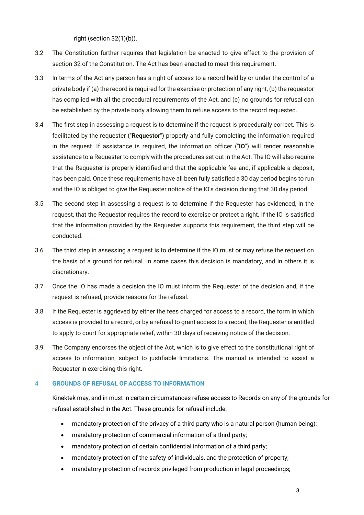right (section 32(1)(b)).

- 3.2 The Constitution further requires that legislation be enacted to give effect to the provision of section 32 of the Constitution. The Act has been enacted to meet this requirement.
- 3.3 In terms of the Act any person has a right of access to a record held by or under the control of a private body if (a) the record is required for the exercise or protection of any right, (b) the requestor has complied with all the procedural requirements of the Act, and (c) no grounds for refusal can be established by the private body allowing them to refuse access to the record requested.
- 3.4 The first step in assessing a request is to determine if the request is procedurally correct. This is facilitated by the requester ("**Requestor**") properly and fully completing the information required in the request. If assistance is required, the information officer ("**IO**") will render reasonable assistance to a Requester to comply with the procedures set out in the Act. The IO will also require that the Requester is properly identified and that the applicable fee and, if applicable a deposit, has been paid. Once these requirements have all been fully satisfied a 30 day period begins to run and the IO is obliged to give the Requester notice of the IO's decision during that 30 day period.
- 3.5 The second step in assessing a request is to determine if the Requester has evidenced, in the request, that the Requestor requires the record to exercise or protect a right. If the IO is satisfied that the information provided by the Requester supports this requirement, the third step will be conducted.
- 3.6 The third step in assessing a request is to determine if the IO must or may refuse the request on the basis of a ground for refusal. In some cases this decision is mandatory, and in others it is discretionary.
- 3.7 Once the IO has made a decision the IO must inform the Requester of the decision and, if the request is refused, provide reasons for the refusal.
- 3.8 If the Requester is aggrieved by either the fees charged for access to a record, the form in which access is provided to a record, or by a refusal to grant access to a record, the Requester is entitled to apply to court for appropriate relief, within 30 days of receiving notice of the decision.
- 3.9 The Company endorses the object of the Act, which is to give effect to the constitutional right of access to information, subject to justifiable limitations. The manual is intended to assist a Requester in exercising this right.

# 4 **GROUNDS OF REFUSAL OF ACCESS TO INFORMATION**

Kinektek may, and in must in certain circumstances refuse access to Records on any of the grounds for refusal established in the Act. These grounds for refusal include:

- mandatory protection of the privacy of a third party who is a natural person (human being);
- mandatory protection of commercial information of a third party;
- mandatory protection of certain confidential information of a third party;
- mandatory protection of the safety of individuals, and the protection of property;
- mandatory protection of records privileged from production in legal proceedings;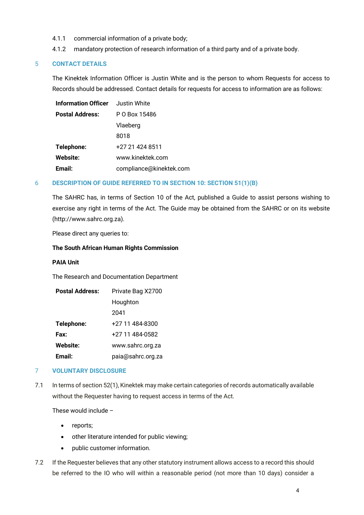- 4.1.1 commercial information of a private body;
- 4.1.2 mandatory protection of research information of a third party and of a private body.

# 5 **CONTACT DETAILS**

The Kinektek Information Officer is Justin White and is the person to whom Requests for access to Records should be addressed. Contact details for requests for access to information are as follows:

| <b>Information Officer</b> | Justin White            |
|----------------------------|-------------------------|
| <b>Postal Address:</b>     | P O Box 15486           |
|                            | Vlaeberg                |
|                            | 8018                    |
| Telephone:                 | +27 21 424 8511         |
| <b>Website:</b>            | www.kinektek.com        |
| Email:                     | compliance@kinektek.com |

# 6 **DESCRIPTION OF GUIDE REFERRED TO IN SECTION 10: SECTION 51(1)(B)**

The SAHRC has, in terms of Section 10 of the Act, published a Guide to assist persons wishing to exercise any right in terms of the Act. The Guide may be obtained from the SAHRC or on its website (http://www.sahrc.org.za).

Please direct any queries to:

# **The South African Human Rights Commission**

# **PAIA Unit**

The Research and Documentation Department

| <b>Postal Address:</b> | Private Bag X2700 |
|------------------------|-------------------|
|                        | Houghton          |
|                        | 2041              |
| Telephone:             | +27 11 484-8300   |
| Fax:                   | +27 11 484-0582   |
| <b>Website:</b>        | www.sahrc.org.za  |
| Email:                 | paia@sahrc.org.za |

# 7 **VOLUNTARY DISCLOSURE**

7.1 In terms of section 52(1), Kinektek may make certain categories of records automatically available without the Requester having to request access in terms of the Act.

These would include –

- reports;
- other literature intended for public viewing;
- public customer information.
- 7.2 If the Requester believes that any other statutory instrument allows access to a record this should be referred to the IO who will within a reasonable period (not more than 10 days) consider a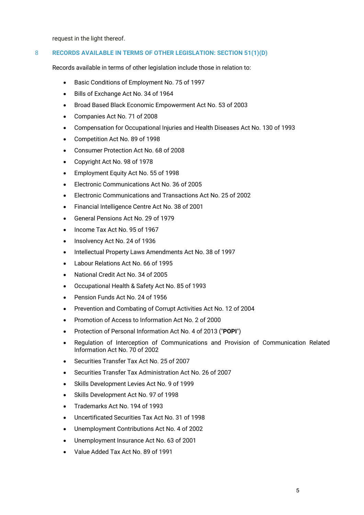request in the light thereof.

# 8 **RECORDS AVAILABLE IN TERMS OF OTHER LEGISLATION: SECTION 51(1)(D)**

Records available in terms of other legislation include those in relation to:

- Basic Conditions of Employment No. 75 of 1997
- Bills of Exchange Act No. 34 of 1964
- Broad Based Black Economic Empowerment Act No. 53 of 2003
- Companies Act No. 71 of 2008
- Compensation for Occupational Injuries and Health Diseases Act No. 130 of 1993
- Competition Act No. 89 of 1998
- Consumer Protection Act No. 68 of 2008
- Copyright Act No. 98 of 1978
- Employment Equity Act No. 55 of 1998
- Electronic Communications Act No. 36 of 2005
- Electronic Communications and Transactions Act No. 25 of 2002
- Financial Intelligence Centre Act No. 38 of 2001
- General Pensions Act No. 29 of 1979
- Income Tax Act No. 95 of 1967
- Insolvency Act No. 24 of 1936
- Intellectual Property Laws Amendments Act No. 38 of 1997
- Labour Relations Act No. 66 of 1995
- National Credit Act No. 34 of 2005
- Occupational Health & Safety Act No. 85 of 1993
- Pension Funds Act No. 24 of 1956
- Prevention and Combating of Corrupt Activities Act No. 12 of 2004
- Promotion of Access to Information Act No. 2 of 2000
- Protection of Personal Information Act No. 4 of 2013 ("**POPI**")
- Regulation of Interception of Communications and Provision of Communication Related Information Act No. 70 of 2002
- Securities Transfer Tax Act No. 25 of 2007
- Securities Transfer Tax Administration Act No. 26 of 2007
- Skills Development Levies Act No. 9 of 1999
- Skills Development Act No. 97 of 1998
- Trademarks Act No. 194 of 1993
- Uncertificated Securities Tax Act No. 31 of 1998
- Unemployment Contributions Act No. 4 of 2002
- Unemployment Insurance Act No. 63 of 2001
- Value Added Tax Act No. 89 of 1991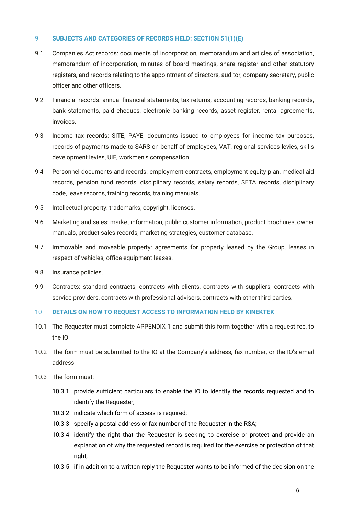# 9 **SUBJECTS AND CATEGORIES OF RECORDS HELD: SECTION 51(1)(E)**

- 9.1 Companies Act records: documents of incorporation, memorandum and articles of association, memorandum of incorporation, minutes of board meetings, share register and other statutory registers, and records relating to the appointment of directors, auditor, company secretary, public officer and other officers.
- 9.2 Financial records: annual financial statements, tax returns, accounting records, banking records, bank statements, paid cheques, electronic banking records, asset register, rental agreements, invoices.
- 9.3 Income tax records: SITE, PAYE, documents issued to employees for income tax purposes, records of payments made to SARS on behalf of employees, VAT, regional services levies, skills development levies, UIF, workmen's compensation.
- 9.4 Personnel documents and records: employment contracts, employment equity plan, medical aid records, pension fund records, disciplinary records, salary records, SETA records, disciplinary code, leave records, training records, training manuals.
- 9.5 Intellectual property: trademarks, copyright, licenses.
- 9.6 Marketing and sales: market information, public customer information, product brochures, owner manuals, product sales records, marketing strategies, customer database.
- 9.7 Immovable and moveable property: agreements for property leased by the Group, leases in respect of vehicles, office equipment leases.
- 9.8 Insurance policies.
- 9.9 Contracts: standard contracts, contracts with clients, contracts with suppliers, contracts with service providers, contracts with professional advisers, contracts with other third parties.

# 10 **DETAILS ON HOW TO REQUEST ACCESS TO INFORMATION HELD BY KINEKTEK**

- 10.1 The Requester must complete APPENDIX 1 and submit this form together with a request fee, to the IO.
- 10.2 The form must be submitted to the IO at the Company's address, fax number, or the IO's email address.
- 10.3 The form must:
	- 10.3.1 provide sufficient particulars to enable the IO to identify the records requested and to identify the Requester;
	- 10.3.2 indicate which form of access is required;
	- 10.3.3 specify a postal address or fax number of the Requester in the RSA;
	- 10.3.4 identify the right that the Requester is seeking to exercise or protect and provide an explanation of why the requested record is required for the exercise or protection of that right;
	- 10.3.5 if in addition to a written reply the Requester wants to be informed of the decision on the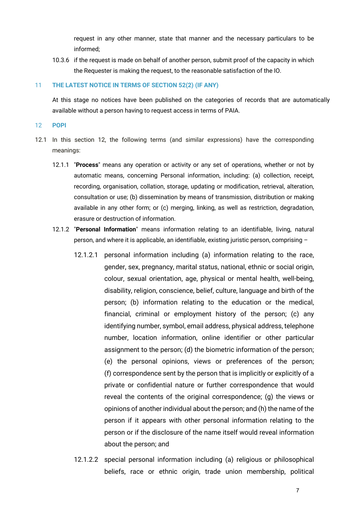request in any other manner, state that manner and the necessary particulars to be informed;

10.3.6 if the request is made on behalf of another person, submit proof of the capacity in which the Requester is making the request, to the reasonable satisfaction of the IO.

# 11 **THE LATEST NOTICE IN TERMS OF SECTION 52(2) (IF ANY)**

At this stage no notices have been published on the categories of records that are automatically available without a person having to request access in terms of PAIA.

#### 12 **POPI**

- 12.1 In this section 12, the following terms (and similar expressions) have the corresponding meanings:
	- 12.1.1 "**Process**" means any operation or activity or any set of operations, whether or not by automatic means, concerning Personal information, including: (a) collection, receipt, recording, organisation, collation, storage, updating or modification, retrieval, alteration, consultation or use; (b) dissemination by means of transmission, distribution or making available in any other form; or (c) merging, linking, as well as restriction, degradation, erasure or destruction of information.
	- 12.1.2 "**Personal Information**" means information relating to an identifiable, living, natural person, and where it is applicable, an identifiable, existing juristic person, comprising –
		- 12.1.2.1 personal information including (a) information relating to the race, gender, sex, pregnancy, marital status, national, ethnic or social origin, colour, sexual orientation, age, physical or mental health, well-being, disability, religion, conscience, belief, culture, language and birth of the person; (b) information relating to the education or the medical, financial, criminal or employment history of the person; (c) any identifying number, symbol, email address, physical address, telephone number, location information, online identifier or other particular assignment to the person; (d) the biometric information of the person; (e) the personal opinions, views or preferences of the person; (f) correspondence sent by the person that is implicitly or explicitly of a private or confidential nature or further correspondence that would reveal the contents of the original correspondence; (g) the views or opinions of another individual about the person; and (h) the name of the person if it appears with other personal information relating to the person or if the disclosure of the name itself would reveal information about the person; and
		- 12.1.2.2 special personal information including (a) religious or philosophical beliefs, race or ethnic origin, trade union membership, political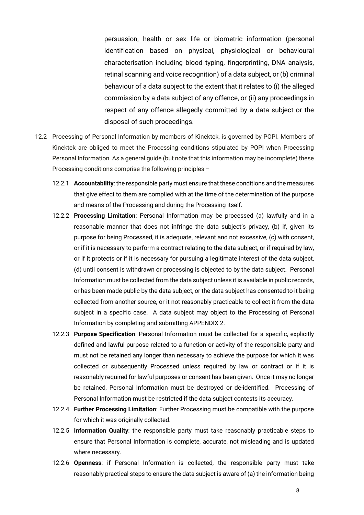persuasion, health or sex life or biometric information (personal identification based on physical, physiological or behavioural characterisation including blood typing, fingerprinting, DNA analysis, retinal scanning and voice recognition) of a data subject, or (b) criminal behaviour of a data subject to the extent that it relates to (i) the alleged commission by a data subject of any offence, or (ii) any proceedings in respect of any offence allegedly committed by a data subject or the disposal of such proceedings.

- 12.2 Processing of Personal Information by members of Kinektek, is governed by POPI. Members of Kinektek are obliged to meet the Processing conditions stipulated by POPI when Processing Personal Information. As a general guide (but note that this information may be incomplete) these Processing conditions comprise the following principles –
	- 12.2.1 **Accountability**: the responsible party must ensure that these conditions and the measures that give effect to them are complied with at the time of the determination of the purpose and means of the Processing and during the Processing itself.
	- 12.2.2 **Processing Limitation**: Personal Information may be processed (a) lawfully and in a reasonable manner that does not infringe the data subject's privacy, (b) if, given its purpose for being Processed, it is adequate, relevant and not excessive, (c) with consent, or if it is necessary to perform a contract relating to the data subject, or if required by law, or if it protects or if it is necessary for pursuing a legitimate interest of the data subject, (d) until consent is withdrawn or processing is objected to by the data subject. Personal Information must be collected from the data subject unless it is available in public records, or has been made public by the data subject, or the data subject has consented to it being collected from another source, or it not reasonably practicable to collect it from the data subject in a specific case. A data subject may object to the Processing of Personal Information by completing and submitting APPENDIX 2.
	- 12.2.3 **Purpose Specification**: Personal Information must be collected for a specific, explicitly defined and lawful purpose related to a function or activity of the responsible party and must not be retained any longer than necessary to achieve the purpose for which it was collected or subsequently Processed unless required by law or contract or if it is reasonably required for lawful purposes or consent has been given. Once it may no longer be retained, Personal Information must be destroyed or de-identified. Processing of Personal Information must be restricted if the data subject contests its accuracy.
	- 12.2.4 **Further Processing Limitation**: Further Processing must be compatible with the purpose for which it was originally collected.
	- 12.2.5 **Information Quality**: the responsible party must take reasonably practicable steps to ensure that Personal Information is complete, accurate, not misleading and is updated where necessary.
	- 12.2.6 **Openness**: if Personal Information is collected, the responsible party must take reasonably practical steps to ensure the data subject is aware of (a) the information being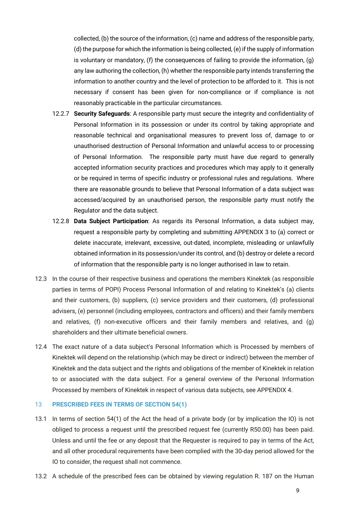collected, (b) the source of the information, (c) name and address of the responsible party, (d) the purpose for which the information is being collected, (e) if the supply of information is voluntary or mandatory, (f) the consequences of failing to provide the information, (g) any law authoring the collection, (h) whether the responsible party intends transferring the information to another country and the level of protection to be afforded to it. This is not necessary if consent has been given for non-compliance or if compliance is not reasonably practicable in the particular circumstances.

- 12.2.7 **Security Safeguards**: A responsible party must secure the integrity and confidentiality of Personal Information in its possession or under its control by taking appropriate and reasonable technical and organisational measures to prevent loss of, damage to or unauthorised destruction of Personal Information and unlawful access to or processing of Personal Information. The responsible party must have due regard to generally accepted information security practices and procedures which may apply to it generally or be required in terms of specific industry or professional rules and regulations. Where there are reasonable grounds to believe that Personal Information of a data subject was accessed/acquired by an unauthorised person, the responsible party must notify the Regulator and the data subject.
- 12.2.8 **Data Subject Participation**: As regards its Personal Information, a data subject may, request a responsible party by completing and submitting APPENDIX 3 to (a) correct or delete inaccurate, irrelevant, excessive, out-dated, incomplete, misleading or unlawfully obtained information in its possession/under its control, and (b) destroy or delete a record of information that the responsible party is no longer authorised in law to retain.
- 12.3 In the course of their respective business and operations the members Kinektek (as responsible parties in terms of POPI) Process Personal Information of and relating to Kinektek's (a) clients and their customers, (b) suppliers, (c) service providers and their customers, (d) professional advisers, (e) personnel (including employees, contractors and officers) and their family members and relatives, (f) non-executive officers and their family members and relatives, and (g) shareholders and their ultimate beneficial owners.
- 12.4 The exact nature of a data subject's Personal Information which is Processed by members of Kinektek will depend on the relationship (which may be direct or indirect) between the member of Kinektek and the data subject and the rights and obligations of the member of Kinektek in relation to or associated with the data subject. For a general overview of the Personal Information Processed by members of Kinektek in respect of various data subjects, see APPENDIX 4.

## 13 **PRESCRIBED FEES IN TERMS OF SECTION 54(1)**

- 13.1 In terms of section 54(1) of the Act the head of a private body (or by implication the IO) is not obliged to process a request until the prescribed request fee (currently R50.00) has been paid. Unless and until the fee or any deposit that the Requester is required to pay in terms of the Act, and all other procedural requirements have been complied with the 30-day period allowed for the IO to consider, the request shall not commence.
- 13.2 A schedule of the prescribed fees can be obtained by viewing regulation R. 187 on the Human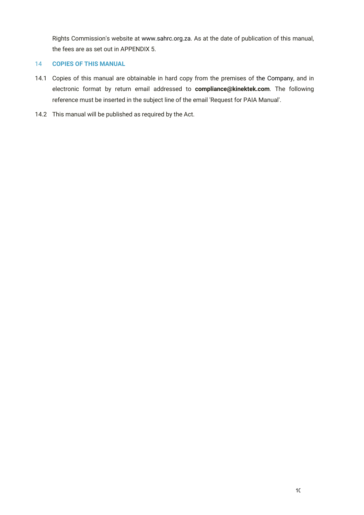Rights Commission's website at www.sahrc.org.za. As at the date of publication of this manual, the fees are as set out in APPENDIX 5.

# 14 **COPIES OF THIS MANUAL**

- 14.1 Copies of this manual are obtainable in hard copy from the premises of the Company, and in electronic format by return email addressed to **compliance@kinektek.com**. The following reference must be inserted in the subject line of the email 'Request for PAIA Manual'.
- 14.2 This manual will be published as required by the Act.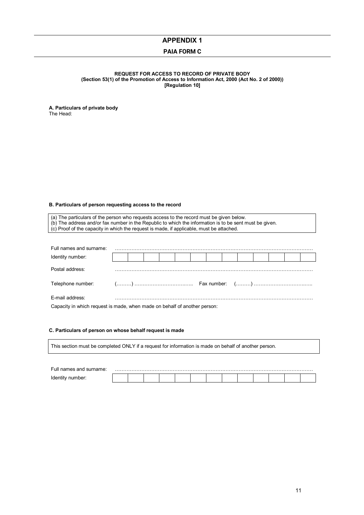**J752**

#### **PAIA FORM C**

#### **FORM C REQUEST FOR ACCESS TO RECORD OF PRIVATE BODY (Section 53(1) of the Promotion of Access to Information Act, 2000 (Act No. 2 of 2000)) [Regulation 10]**

**A. Particulars of private body**  The Head:

#### **B. Particulars of person requesting access to the record**

(a) The particulars of the person who requests access to the record must be given below. (b) The address and/or fax number in the Republic to which the information is to be sent must be given. (c) Proof of the capacity in which the request is made, if applicable, must be attached.

| Full names and surname:                                                   |  |  |  |  |  |  |  |  |  |  |  |
|---------------------------------------------------------------------------|--|--|--|--|--|--|--|--|--|--|--|
| Identity number:                                                          |  |  |  |  |  |  |  |  |  |  |  |
| Postal address:                                                           |  |  |  |  |  |  |  |  |  |  |  |
|                                                                           |  |  |  |  |  |  |  |  |  |  |  |
| E-mail address:                                                           |  |  |  |  |  |  |  |  |  |  |  |
| Capacity in which request is made, when made on behalf of another person: |  |  |  |  |  |  |  |  |  |  |  |

#### **C. Particulars of person on whose behalf request is made**

This section must be completed ONLY if a request for information is made on behalf of another person.

| $\sim$ |  |  |  |  |  |  |  |
|--------|--|--|--|--|--|--|--|
|        |  |  |  |  |  |  |  |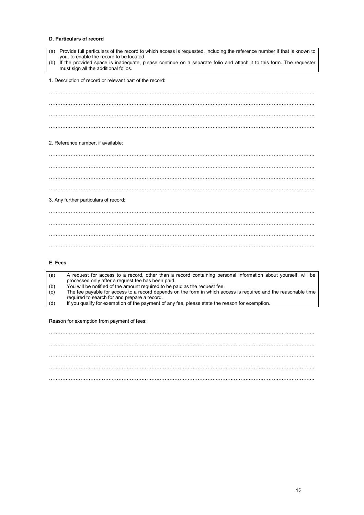#### **D. Particulars of record**

| Provide full particulars of the record to which access is requested, including the reference number if that is known to<br>(a)<br>you, to enable the record to be located. |
|----------------------------------------------------------------------------------------------------------------------------------------------------------------------------|
| If the provided space is inadequate, please continue on a separate folio and attach it to this form. The requester<br>(b)<br>must sign all the additional folios.          |
| 1. Description of record or relevant part of the record:                                                                                                                   |
|                                                                                                                                                                            |
|                                                                                                                                                                            |
|                                                                                                                                                                            |
|                                                                                                                                                                            |
| 2. Reference number, if available:                                                                                                                                         |
|                                                                                                                                                                            |
|                                                                                                                                                                            |
|                                                                                                                                                                            |
|                                                                                                                                                                            |
| 3. Any further particulars of record:                                                                                                                                      |
|                                                                                                                                                                            |
|                                                                                                                                                                            |
|                                                                                                                                                                            |
|                                                                                                                                                                            |

#### **E. Fees**

| (a) | A request for access to a record, other than a record containing personal information about yourself, will be<br>processed only after a request fee has been paid. |
|-----|--------------------------------------------------------------------------------------------------------------------------------------------------------------------|
|     |                                                                                                                                                                    |
| (b) | You will be notified of the amount required to be paid as the request fee.                                                                                         |
| (c) | The fee payable for access to a record depends on the form in which access is required and the reasonable time                                                     |
|     | required to search for and prepare a record.                                                                                                                       |
| (d) | If you qualify for exemption of the payment of any fee, please state the reason for exemption.                                                                     |
|     |                                                                                                                                                                    |

Reason for exemption from payment of fees:

…………………………………………………………………………………………………………………………………………….. …………………………………………………………………………………………………………………………………………….. …………………………………………………………………………………………………………………………………………….. …………………………………………………………………………………………………………………………………………….. ……………………………………………………………………………………………………………………………………………..

2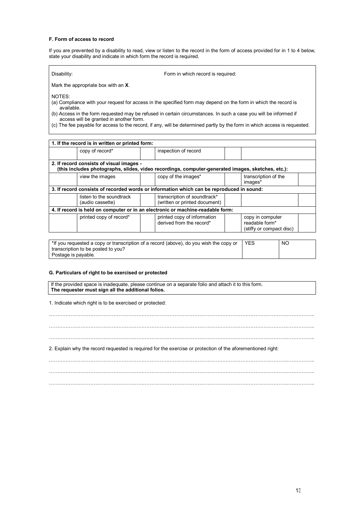#### **F. Form of access to record**

If you are prevented by a disability to read, view or listen to the record in the form of access provided for in 1 to 4 below, state your disability and indicate in which form the record is required.

| Disability: | Form in which record is required: |
|-------------|-----------------------------------|
|             |                                   |

Mark the appropriate box with an **X**.

NOTES:

(a) Compliance with your request for access in the specified form may depend on the form in which the record is available.

(b) Access in the form requested may be refused in certain circumstances. In such a case you will be informed if access will be granted in another form.

(c) The fee payable for access to the record, if any, will be determined partly by the form in which access is requested.

| 1. If the record is in written or printed form:                                                                                               |                                                                                          |                                                                                |                                                                |  |  |  |
|-----------------------------------------------------------------------------------------------------------------------------------------------|------------------------------------------------------------------------------------------|--------------------------------------------------------------------------------|----------------------------------------------------------------|--|--|--|
|                                                                                                                                               | copy of record*                                                                          | inspection of record                                                           |                                                                |  |  |  |
| 2. If record consists of visual images -<br>(this includes photographs, slides, video recordings, computer-generated images, sketches, etc.): |                                                                                          |                                                                                |                                                                |  |  |  |
|                                                                                                                                               | view the images                                                                          | copy of the images*                                                            | transcription of the<br>images*                                |  |  |  |
|                                                                                                                                               | 3. If record consists of recorded words or information which can be reproduced in sound: |                                                                                |                                                                |  |  |  |
|                                                                                                                                               | listen to the soundtrack<br>(audio cassette)                                             | transcription of soundtrack*<br>(written or printed document)                  |                                                                |  |  |  |
|                                                                                                                                               |                                                                                          | 4. If record is held on computer or in an electronic or machine-readable form: |                                                                |  |  |  |
|                                                                                                                                               | printed copy of record*                                                                  | printed copy of information<br>derived from the record*                        | copy in computer<br>readable form*<br>(stiffy or compact disc) |  |  |  |
|                                                                                                                                               |                                                                                          |                                                                                |                                                                |  |  |  |

| *If you requested a copy or transcription of a record (above), do you wish the copy or | <b>YES</b> | NO. |
|----------------------------------------------------------------------------------------|------------|-----|
| transcription to be posted to you?                                                     |            |     |
| Postage is payable.                                                                    |            |     |

#### **G. Particulars of right to be exercised or protected**

If the provided space is inadequate, please continue on a separate folio and attach it to this form. **The requester must sign all the additional folios.** 

1. Indicate which right is to be exercised or protected:

| 2. Explain why the record requested is required for the exercise or protection of the aforementioned right: |
|-------------------------------------------------------------------------------------------------------------|
|                                                                                                             |
|                                                                                                             |
|                                                                                                             |

3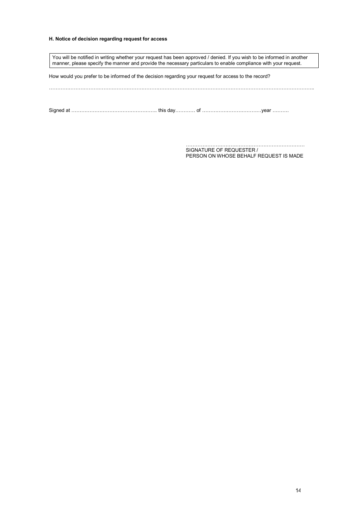#### **H. Notice of decision regarding request for access**

You will be notified in writing whether your request has been approved / denied. If you wish to be informed in another manner, please specify the manner and provide the necessary particulars to enable compliance with your request. How would you prefer to be informed of the decision regarding your request for access to the record? ……………………………………………………………………………………………………………………………………………..

Signed at ……………………………………………. this day………… of ………………………………year ……….

……………………………………………………………… SIGNATURE OF REQUESTER / PERSON ON WHOSE BEHALF REQUEST IS MADE

4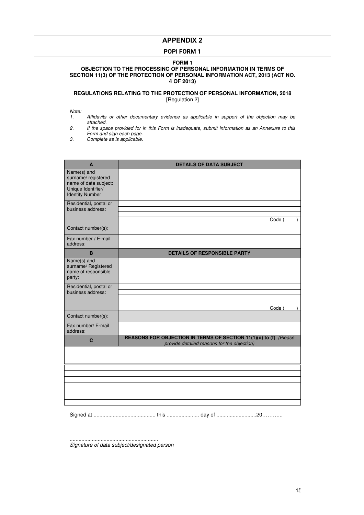#### **POPI FORM 1**

#### **FORM 1 OBJECTION TO THE PROCESSING OF PERSONAL INFORMATION IN TERMS OF SECTION 11(3) OF THE PROTECTION OF PERSONAL INFORMATION ACT, 2013 (ACT NO. 4 OF 2013)**

#### **REGULATIONS RELATING TO THE PROTECTION OF PERSONAL INFORMATION, 2018** [Regulation 2]

Note:<br>1.

- Affidavits or other documentary evidence as applicable in support of the objection may be attached.
- 2. If the space provided for in this Form is inadequate, submit information as an Annexure to this Form and sign each page.

3. Complete as is applicable.

| A                                                                   | <b>DETAILS OF DATA SUBJECT</b>                                                                                   |
|---------------------------------------------------------------------|------------------------------------------------------------------------------------------------------------------|
| Name(s) and<br>surname/registered<br>name of data subject:          |                                                                                                                  |
| Unique Identifier/<br><b>Identity Number</b>                        |                                                                                                                  |
| Residential, postal or<br>business address:                         |                                                                                                                  |
|                                                                     | Code (                                                                                                           |
| Contact number(s):                                                  |                                                                                                                  |
| Fax number / E-mail<br>address:                                     |                                                                                                                  |
| B                                                                   | <b>DETAILS OF RESPONSIBLE PARTY</b>                                                                              |
| Name(s) and<br>surname/ Registered<br>name of responsible<br>party: |                                                                                                                  |
| Residential, postal or<br>business address:                         |                                                                                                                  |
|                                                                     |                                                                                                                  |
| Contact number(s):                                                  | Code (                                                                                                           |
| Fax number/ E-mail<br>address:                                      |                                                                                                                  |
| C                                                                   | REASONS FOR OBJECTION IN TERMS OF SECTION 11(1)(d) to (f) (Please<br>provide detailed reasons for the objection) |
|                                                                     |                                                                                                                  |
|                                                                     |                                                                                                                  |
|                                                                     |                                                                                                                  |
|                                                                     |                                                                                                                  |
|                                                                     |                                                                                                                  |
|                                                                     |                                                                                                                  |
|                                                                     |                                                                                                                  |
|                                                                     |                                                                                                                  |

Signed at .......................................... this ...................... day of ...........................20………...

............................................................ Signature of data subject/designated person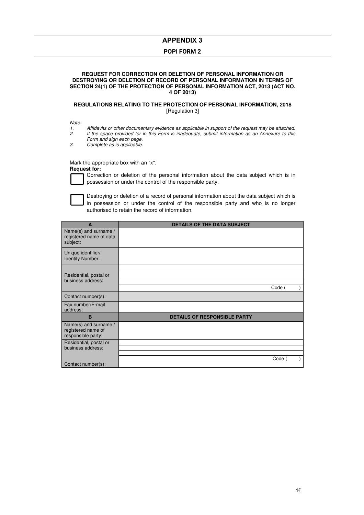#### **POPI FORM 2**

#### **REQUEST FOR CORRECTION OR DELETION OF PERSONAL INFORMATION OR DESTROYING OR DELETION OF RECORD OF PERSONAL INFORMATION IN TERMS OF SECTION 24(1) OF THE PROTECTION OF PERSONAL INFORMATION ACT, 2013 (ACT NO. 4 OF 2013)**

#### **REGULATIONS RELATING TO THE PROTECTION OF PERSONAL INFORMATION, 2018** [Regulation 3]

Note:

- 1. Affidavits or other documentary evidence as applicable in support of the request may be attached.<br>2. If the space provided for in this Form is inadequate, submit information as an Annexure to this
	- 2. If the space provided for in this Form is inadequate, submit information as an Annexure to this Form and sign each page.
- 3. Complete as is applicable.

Mark the appropriate box with an "x".

**Request for:** 



Correction or deletion of the personal information about the data subject which is in possession or under the control of the responsible party.



Destroying or deletion of a record of personal information about the data subject which is in possession or under the control of the responsible party and who is no longer authorised to retain the record of information.

| A                                                                 | <b>DETAILS OF THE DATA SUBJECT</b>  |
|-------------------------------------------------------------------|-------------------------------------|
| Name(s) and surname /<br>registered name of data<br>subject:      |                                     |
| Unique identifier/<br><b>Identity Number:</b>                     |                                     |
|                                                                   |                                     |
| Residential, postal or                                            |                                     |
| business address:                                                 |                                     |
|                                                                   | Code (                              |
| Contact number(s):                                                |                                     |
| Fax number/E-mail<br>address:                                     |                                     |
| B                                                                 | <b>DETAILS OF RESPONSIBLE PARTY</b> |
| Name(s) and surname /<br>registered name of<br>responsible party: |                                     |
| Residential, postal or                                            |                                     |
| business address:                                                 |                                     |
|                                                                   | Code                                |
| Contact number(s):                                                |                                     |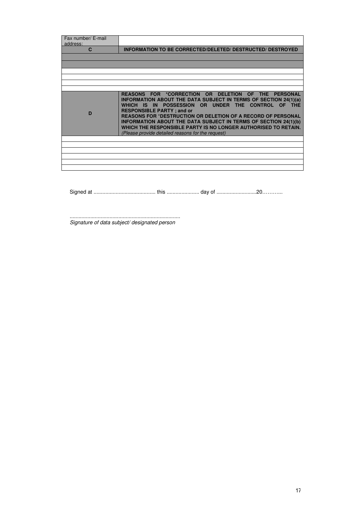| Fax number/ E-mail<br>address: |                                                                                                                                                                                                                                                                                                                                                                                                                                                                                          |
|--------------------------------|------------------------------------------------------------------------------------------------------------------------------------------------------------------------------------------------------------------------------------------------------------------------------------------------------------------------------------------------------------------------------------------------------------------------------------------------------------------------------------------|
| C                              | <b>INFORMATION TO BE CORRECTED/DELETED/ DESTRUCTED/ DESTROYED</b>                                                                                                                                                                                                                                                                                                                                                                                                                        |
|                                |                                                                                                                                                                                                                                                                                                                                                                                                                                                                                          |
|                                |                                                                                                                                                                                                                                                                                                                                                                                                                                                                                          |
|                                |                                                                                                                                                                                                                                                                                                                                                                                                                                                                                          |
|                                |                                                                                                                                                                                                                                                                                                                                                                                                                                                                                          |
|                                |                                                                                                                                                                                                                                                                                                                                                                                                                                                                                          |
|                                |                                                                                                                                                                                                                                                                                                                                                                                                                                                                                          |
| D                              | REASONS FOR *CORRECTION OR DELETION OF THE PERSONAL<br><b>INFORMATION ABOUT THE DATA SUBJECT IN TERMS OF SECTION 24(1)(a)</b><br>WHICH IS IN POSSESSION OR UNDER THE CONTROL OF THE<br><b>RESPONSIBLE PARTY; and or</b><br><b>REASONS FOR *DESTRUCTION OR DELETION OF A RECORD OF PERSONAL</b><br>INFORMATION ABOUT THE DATA SUBJECT IN TERMS OF SECTION 24(1)(b)<br>WHICH THE RESPONSIBLE PARTY IS NO LONGER AUTHORISED TO RETAIN.<br>(Please provide detailed reasons for the request) |
|                                |                                                                                                                                                                                                                                                                                                                                                                                                                                                                                          |
|                                |                                                                                                                                                                                                                                                                                                                                                                                                                                                                                          |
|                                |                                                                                                                                                                                                                                                                                                                                                                                                                                                                                          |
|                                |                                                                                                                                                                                                                                                                                                                                                                                                                                                                                          |
|                                |                                                                                                                                                                                                                                                                                                                                                                                                                                                                                          |
|                                |                                                                                                                                                                                                                                                                                                                                                                                                                                                                                          |

Signed at .......................................... this ...................... day of ...........................20………...

........................................................................... Signature of data subject/ designated person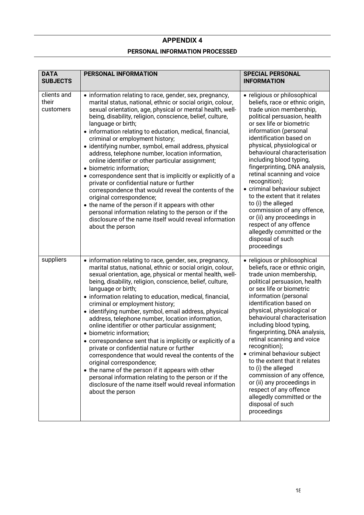# **PERSONAL INFORMATION PROCESSED**

| <b>DATA</b><br><b>SUBJECTS</b>    | <b>PERSONAL INFORMATION</b>                                                                                                                                                                                                                                                                                                                                                                                                                                                                                                                                                                                                                                                                                                                                                                                                                                                                                                                                    | <b>SPECIAL PERSONAL</b><br><b>INFORMATION</b>                                                                                                                                                                                                                                                                                                                                                                                                                                                                                                                                                                                     |  |
|-----------------------------------|----------------------------------------------------------------------------------------------------------------------------------------------------------------------------------------------------------------------------------------------------------------------------------------------------------------------------------------------------------------------------------------------------------------------------------------------------------------------------------------------------------------------------------------------------------------------------------------------------------------------------------------------------------------------------------------------------------------------------------------------------------------------------------------------------------------------------------------------------------------------------------------------------------------------------------------------------------------|-----------------------------------------------------------------------------------------------------------------------------------------------------------------------------------------------------------------------------------------------------------------------------------------------------------------------------------------------------------------------------------------------------------------------------------------------------------------------------------------------------------------------------------------------------------------------------------------------------------------------------------|--|
| clients and<br>their<br>customers | • information relating to race, gender, sex, pregnancy,<br>marital status, national, ethnic or social origin, colour,<br>sexual orientation, age, physical or mental health, well-<br>being, disability, religion, conscience, belief, culture,<br>language or birth;<br>• information relating to education, medical, financial,<br>criminal or employment history;<br>• identifying number, symbol, email address, physical<br>address, telephone number, location information,<br>online identifier or other particular assignment;<br>· biometric information;<br>• correspondence sent that is implicitly or explicitly of a<br>private or confidential nature or further<br>correspondence that would reveal the contents of the<br>original correspondence;<br>• the name of the person if it appears with other<br>personal information relating to the person or if the<br>disclosure of the name itself would reveal information<br>about the person | • religious or philosophical<br>beliefs, race or ethnic origin,<br>trade union membership,<br>political persuasion, health<br>or sex life or biometric<br>information (personal<br>identification based on<br>physical, physiological or<br>behavioural characterisation<br>including blood typing,<br>fingerprinting, DNA analysis,<br>retinal scanning and voice<br>recognition);<br>· criminal behaviour subject<br>to the extent that it relates<br>to (i) the alleged<br>commission of any offence,<br>or (ii) any proceedings in<br>respect of any offence<br>allegedly committed or the<br>disposal of such<br>proceedings |  |
| suppliers                         | • information relating to race, gender, sex, pregnancy,<br>marital status, national, ethnic or social origin, colour,<br>sexual orientation, age, physical or mental health, well-<br>being, disability, religion, conscience, belief, culture,<br>language or birth;<br>• information relating to education, medical, financial,<br>criminal or employment history;<br>• identifying number, symbol, email address, physical<br>address, telephone number, location information,<br>online identifier or other particular assignment;<br>• biometric information;<br>• correspondence sent that is implicitly or explicitly of a<br>private or confidential nature or further<br>correspondence that would reveal the contents of the<br>original correspondence;<br>• the name of the person if it appears with other<br>personal information relating to the person or if the<br>disclosure of the name itself would reveal information<br>about the person | • religious or philosophical<br>beliefs, race or ethnic origin,<br>trade union membership,<br>political persuasion, health<br>or sex life or biometric<br>information (personal<br>identification based on<br>physical, physiological or<br>behavioural characterisation<br>including blood typing,<br>fingerprinting, DNA analysis,<br>retinal scanning and voice<br>recognition);<br>· criminal behaviour subject<br>to the extent that it relates<br>to (i) the alleged<br>commission of any offence,<br>or (ii) any proceedings in<br>respect of any offence<br>allegedly committed or the<br>disposal of such<br>proceedings |  |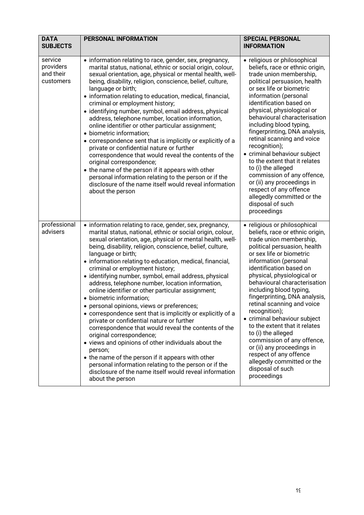| <b>DATA</b><br><b>SUBJECTS</b>                 | <b>PERSONAL INFORMATION</b>                                                                                                                                                                                                                                                                                                                                                                                                                                                                                                                                                                                                                                                                                                                                                                                                                                                                                                                                                                                                                                                    | <b>SPECIAL PERSONAL</b><br><b>INFORMATION</b>                                                                                                                                                                                                                                                                                                                                                                                                                                                                                                                                                                                     |
|------------------------------------------------|--------------------------------------------------------------------------------------------------------------------------------------------------------------------------------------------------------------------------------------------------------------------------------------------------------------------------------------------------------------------------------------------------------------------------------------------------------------------------------------------------------------------------------------------------------------------------------------------------------------------------------------------------------------------------------------------------------------------------------------------------------------------------------------------------------------------------------------------------------------------------------------------------------------------------------------------------------------------------------------------------------------------------------------------------------------------------------|-----------------------------------------------------------------------------------------------------------------------------------------------------------------------------------------------------------------------------------------------------------------------------------------------------------------------------------------------------------------------------------------------------------------------------------------------------------------------------------------------------------------------------------------------------------------------------------------------------------------------------------|
| service<br>providers<br>and their<br>customers | • information relating to race, gender, sex, pregnancy,<br>marital status, national, ethnic or social origin, colour,<br>sexual orientation, age, physical or mental health, well-<br>being, disability, religion, conscience, belief, culture,<br>language or birth;<br>• information relating to education, medical, financial,<br>criminal or employment history;<br>· identifying number, symbol, email address, physical<br>address, telephone number, location information,<br>online identifier or other particular assignment;<br>· biometric information;<br>• correspondence sent that is implicitly or explicitly of a<br>private or confidential nature or further<br>correspondence that would reveal the contents of the<br>original correspondence;<br>• the name of the person if it appears with other<br>personal information relating to the person or if the<br>disclosure of the name itself would reveal information<br>about the person                                                                                                                 | • religious or philosophical<br>beliefs, race or ethnic origin,<br>trade union membership,<br>political persuasion, health<br>or sex life or biometric<br>information (personal<br>identification based on<br>physical, physiological or<br>behavioural characterisation<br>including blood typing,<br>fingerprinting, DNA analysis,<br>retinal scanning and voice<br>recognition);<br>· criminal behaviour subject<br>to the extent that it relates<br>to (i) the alleged<br>commission of any offence,<br>or (ii) any proceedings in<br>respect of any offence<br>allegedly committed or the<br>disposal of such<br>proceedings |
| professional<br>advisers                       | • information relating to race, gender, sex, pregnancy,<br>marital status, national, ethnic or social origin, colour,<br>sexual orientation, age, physical or mental health, well-<br>being, disability, religion, conscience, belief, culture,<br>language or birth;<br>• information relating to education, medical, financial,<br>criminal or employment history;<br>· identifying number, symbol, email address, physical<br>address, telephone number, location information,<br>online identifier or other particular assignment;<br>• biometric information;<br>• personal opinions, views or preferences;<br>• correspondence sent that is implicitly or explicitly of a<br>private or confidential nature or further<br>correspondence that would reveal the contents of the<br>original correspondence;<br>• views and opinions of other individuals about the<br>person;<br>• the name of the person if it appears with other<br>personal information relating to the person or if the<br>disclosure of the name itself would reveal information<br>about the person | • religious or philosophical<br>beliefs, race or ethnic origin,<br>trade union membership,<br>political persuasion, health<br>or sex life or biometric<br>information (personal<br>identification based on<br>physical, physiological or<br>behavioural characterisation<br>including blood typing,<br>fingerprinting, DNA analysis,<br>retinal scanning and voice<br>recognition);<br>• criminal behaviour subject<br>to the extent that it relates<br>to (i) the alleged<br>commission of any offence,<br>or (ii) any proceedings in<br>respect of any offence<br>allegedly committed or the<br>disposal of such<br>proceedings |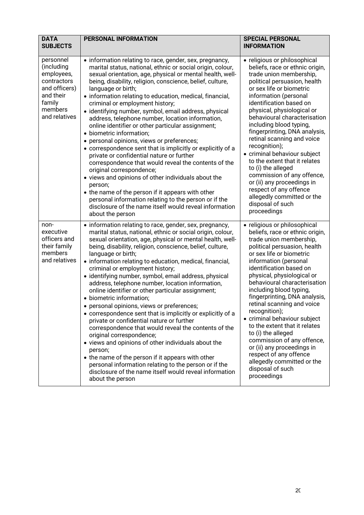| <b>DATA</b><br><b>SUBJECTS</b>                                                                                           | <b>PERSONAL INFORMATION</b>                                                                                                                                                                                                                                                                                                                                                                                                                                                                                                                                                                                                                                                                                                                                                                                                                                                                                                                                                                                                                                                    | <b>SPECIAL PERSONAL</b><br><b>INFORMATION</b>                                                                                                                                                                                                                                                                                                                                                                                                                                                                                                                                                                                     |
|--------------------------------------------------------------------------------------------------------------------------|--------------------------------------------------------------------------------------------------------------------------------------------------------------------------------------------------------------------------------------------------------------------------------------------------------------------------------------------------------------------------------------------------------------------------------------------------------------------------------------------------------------------------------------------------------------------------------------------------------------------------------------------------------------------------------------------------------------------------------------------------------------------------------------------------------------------------------------------------------------------------------------------------------------------------------------------------------------------------------------------------------------------------------------------------------------------------------|-----------------------------------------------------------------------------------------------------------------------------------------------------------------------------------------------------------------------------------------------------------------------------------------------------------------------------------------------------------------------------------------------------------------------------------------------------------------------------------------------------------------------------------------------------------------------------------------------------------------------------------|
| personnel<br>(including<br>employees,<br>contractors<br>and officers)<br>and their<br>family<br>members<br>and relatives | • information relating to race, gender, sex, pregnancy,<br>marital status, national, ethnic or social origin, colour,<br>sexual orientation, age, physical or mental health, well-<br>being, disability, religion, conscience, belief, culture,<br>language or birth;<br>• information relating to education, medical, financial,<br>criminal or employment history;<br>· identifying number, symbol, email address, physical<br>address, telephone number, location information,<br>online identifier or other particular assignment;<br>• biometric information;<br>• personal opinions, views or preferences;<br>• correspondence sent that is implicitly or explicitly of a<br>private or confidential nature or further<br>correspondence that would reveal the contents of the<br>original correspondence;<br>• views and opinions of other individuals about the<br>person;<br>• the name of the person if it appears with other<br>personal information relating to the person or if the<br>disclosure of the name itself would reveal information<br>about the person | • religious or philosophical<br>beliefs, race or ethnic origin,<br>trade union membership,<br>political persuasion, health<br>or sex life or biometric<br>information (personal<br>identification based on<br>physical, physiological or<br>behavioural characterisation<br>including blood typing,<br>fingerprinting, DNA analysis,<br>retinal scanning and voice<br>recognition);<br>• criminal behaviour subject<br>to the extent that it relates<br>to (i) the alleged<br>commission of any offence,<br>or (ii) any proceedings in<br>respect of any offence<br>allegedly committed or the<br>disposal of such<br>proceedings |
| non-<br>executive<br>officers and<br>their family<br>members<br>and relatives                                            | • information relating to race, gender, sex, pregnancy,<br>marital status, national, ethnic or social origin, colour,<br>sexual orientation, age, physical or mental health, well-<br>being, disability, religion, conscience, belief, culture,<br>language or birth;<br>• information relating to education, medical, financial,<br>criminal or employment history;<br>· identifying number, symbol, email address, physical<br>address, telephone number, location information,<br>online identifier or other particular assignment;<br>· biometric information;<br>• personal opinions, views or preferences;<br>• correspondence sent that is implicitly or explicitly of a<br>private or confidential nature or further<br>correspondence that would reveal the contents of the<br>original correspondence;<br>• views and opinions of other individuals about the<br>person;<br>• the name of the person if it appears with other<br>personal information relating to the person or if the<br>disclosure of the name itself would reveal information<br>about the person | • religious or philosophical<br>beliefs, race or ethnic origin,<br>trade union membership,<br>political persuasion, health<br>or sex life or biometric<br>information (personal<br>identification based on<br>physical, physiological or<br>behavioural characterisation<br>including blood typing,<br>fingerprinting, DNA analysis,<br>retinal scanning and voice<br>recognition);<br>• criminal behaviour subject<br>to the extent that it relates<br>to (i) the alleged<br>commission of any offence,<br>or (ii) any proceedings in<br>respect of any offence<br>allegedly committed or the<br>disposal of such<br>proceedings |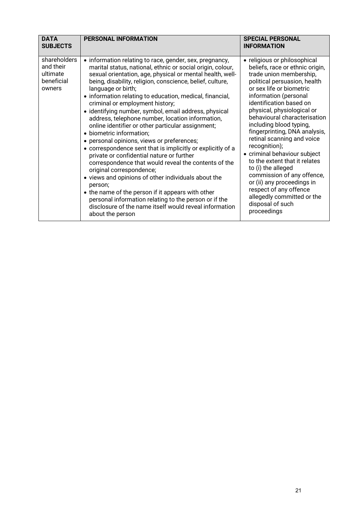| <b>DATA</b><br><b>SUBJECTS</b>                                | <b>PERSONAL INFORMATION</b>                                                                                                                                                                                                                                                                                                                                                                                                                                                                                                                                                                                                                                                                                                                                                                                                                                                                                                                                                                                                                                                    | <b>SPECIAL PERSONAL</b><br><b>INFORMATION</b>                                                                                                                                                                                                                                                                                                                                                                                                                                                                                                                                                                                     |
|---------------------------------------------------------------|--------------------------------------------------------------------------------------------------------------------------------------------------------------------------------------------------------------------------------------------------------------------------------------------------------------------------------------------------------------------------------------------------------------------------------------------------------------------------------------------------------------------------------------------------------------------------------------------------------------------------------------------------------------------------------------------------------------------------------------------------------------------------------------------------------------------------------------------------------------------------------------------------------------------------------------------------------------------------------------------------------------------------------------------------------------------------------|-----------------------------------------------------------------------------------------------------------------------------------------------------------------------------------------------------------------------------------------------------------------------------------------------------------------------------------------------------------------------------------------------------------------------------------------------------------------------------------------------------------------------------------------------------------------------------------------------------------------------------------|
| shareholders<br>and their<br>ultimate<br>beneficial<br>owners | • information relating to race, gender, sex, pregnancy,<br>marital status, national, ethnic or social origin, colour,<br>sexual orientation, age, physical or mental health, well-<br>being, disability, religion, conscience, belief, culture,<br>language or birth;<br>• information relating to education, medical, financial,<br>criminal or employment history;<br>· identifying number, symbol, email address, physical<br>address, telephone number, location information,<br>online identifier or other particular assignment;<br>• biometric information;<br>• personal opinions, views or preferences;<br>• correspondence sent that is implicitly or explicitly of a<br>private or confidential nature or further<br>correspondence that would reveal the contents of the<br>original correspondence;<br>• views and opinions of other individuals about the<br>person;<br>• the name of the person if it appears with other<br>personal information relating to the person or if the<br>disclosure of the name itself would reveal information<br>about the person | • religious or philosophical<br>beliefs, race or ethnic origin,<br>trade union membership,<br>political persuasion, health<br>or sex life or biometric<br>information (personal<br>identification based on<br>physical, physiological or<br>behavioural characterisation<br>including blood typing,<br>fingerprinting, DNA analysis,<br>retinal scanning and voice<br>recognition);<br>• criminal behaviour subject<br>to the extent that it relates<br>to (i) the alleged<br>commission of any offence,<br>or (ii) any proceedings in<br>respect of any offence<br>allegedly committed or the<br>disposal of such<br>proceedings |